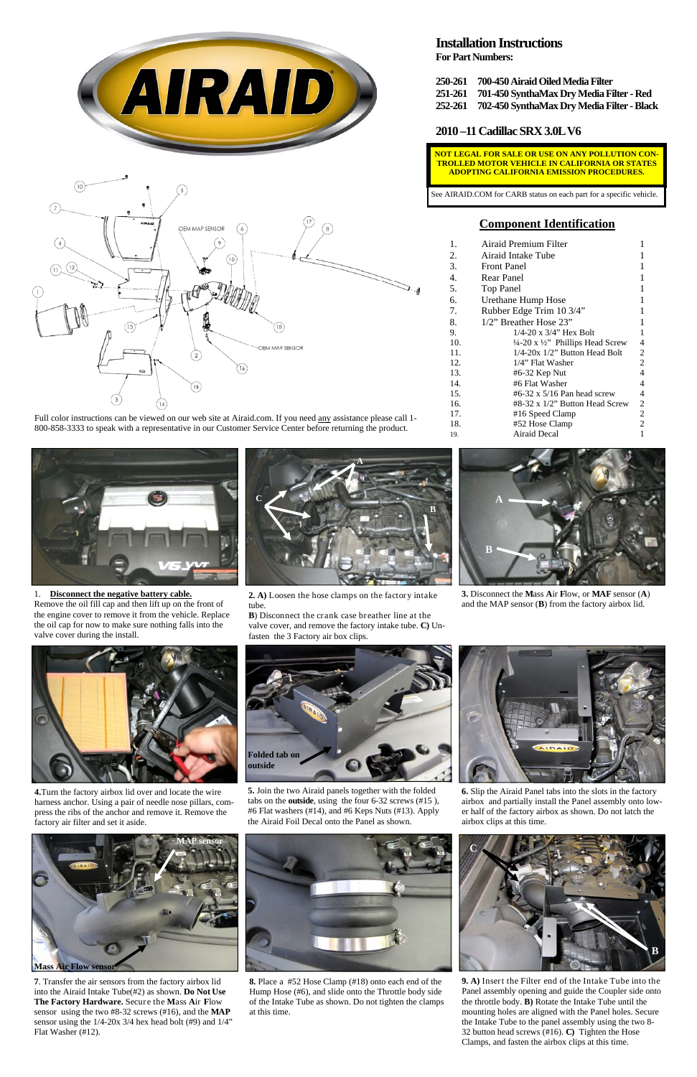## **Component Identification**

| 1.  | Airaid Premium Filter                                   |                |
|-----|---------------------------------------------------------|----------------|
| 2.  | Airaid Intake Tube                                      |                |
| 3.  | <b>Front Panel</b>                                      |                |
| 4.  | Rear Panel                                              |                |
| 5.  | <b>Top Panel</b>                                        |                |
| б.  | Urethane Hump Hose                                      | 1              |
| 7.  | Rubber Edge Trim 10 3/4"                                | 1              |
| 8.  | $1/2$ " Breather Hose $23$ "                            | 1              |
| 9.  | $1/4 - 20$ x $3/4$ " Hex Bolt                           | 1              |
| 10. | $\frac{1}{4}$ -20 x $\frac{1}{2}$ . Phillips Head Screw | 4              |
| 11. | 1/4-20x 1/2" Button Head Bolt                           | 2              |
| 12. | $1/4$ " Flat Washer                                     | 2              |
| 13. | #6-32 Kep Nut                                           | 4              |
| 14. | #6 Flat Washer                                          | 4              |
| 15. | $#6-32 \times 5/16$ Pan head screw                      | 4              |
| 16. | $#8-32 \times 1/2"$ Button Head Screw                   | $\overline{c}$ |
| 17. | #16 Speed Clamp                                         | $\overline{2}$ |
| 18. | #52 Hose Clamp                                          | 2              |
| 19. | Airaid Decal                                            | 1              |



1. **Disconnect the negative battery cable.**  Remove the oil fill cap and then lift up on the front of the engine cover to remove it from the vehicle. Replace the oil cap for now to make sure nothing falls into the valve cover during the install.



**2. A)** Loosen the hose clamps on the factory intake tube.

**B**) Disconnect the crank case breather line at the valve cover, and remove the factory intake tube. **C)** Unfasten the 3 Factory air box clips.

**4.**Turn the factory airbox lid over and locate the wire harness anchor. Using a pair of needle nose pillars, compress the ribs of the anchor and remove it. Remove the factory air filter and set it aside.

**5.** Join the two Airaid panels together with the folded tabs on the **outside**, using the four 6-32 screws (#15 ), #6 Flat washers (#14), and #6 Keps Nuts (#13). Apply the Airaid Foil Decal onto the Panel as shown.

**6.** Slip the Airaid Panel tabs into the slots in the factory airbox and partially install the Panel assembly onto lower half of the factory airbox as shown. Do not latch the airbox clips at this time.



**3.** Disconnect the **M**ass **A**ir **F**low, or **MAF** sensor (**A**) and the MAP sensor (**B**) from the factory airbox lid.



**7**. Transfer the air sensors from the factory airbox lid into the Airaid Intake Tube(#2) as shown. **Do Not Use The Factory Hardware.** Secure the **M**ass **A**ir **F**low sensor using the two #8-32 screws (#16), and the **MAP** sensor using the 1/4-20x 3/4 hex head bolt (#9) and 1/4" Flat Washer (#12).

**8.** Place a #52 Hose Clamp (#18) onto each end of the Hump Hose (#6), and slide onto the Throttle body side of the Intake Tube as shown. Do not tighten the clamps at this time.

**9. A)** Insert the Filter end of the Intake Tube into the Panel assembly opening and guide the Coupler side onto the throttle body. **B)** Rotate the Intake Tube until the mounting holes are aligned with the Panel holes. Secure the Intake Tube to the panel assembly using the two 8- 32 button head screws (#16). **C)** Tighten the Hose Clamps, and fasten the airbox clips at this time.



### **Installation Instructions**

**For Part Numbers:** 



- **250-261 700-450 Airaid Oiled Media Filter**
- **251-261 701-450 SynthaMax Dry Media Filter Red**
- **252-261 702-450 SynthaMax Dry Media Filter Black**

#### **2010 –11 Cadillac SRX 3.0L V6**









Full color instructions can be viewed on our web site at Airaid.com. If you need any assistance please call 1- 800-858-3333 to speak with a representative in our Customer Service Center before returning the product.

**NOT LEGAL FOR SALE OR USE ON ANY POLLUTION CON-TROLLED MOTOR VEHICLE IN CALIFORNIA OR STATES ADOPTING CALIFORNIA EMISSION PROCEDURES.** 

See AIRAID.COM for CARB status on each part for a specific vehicle.